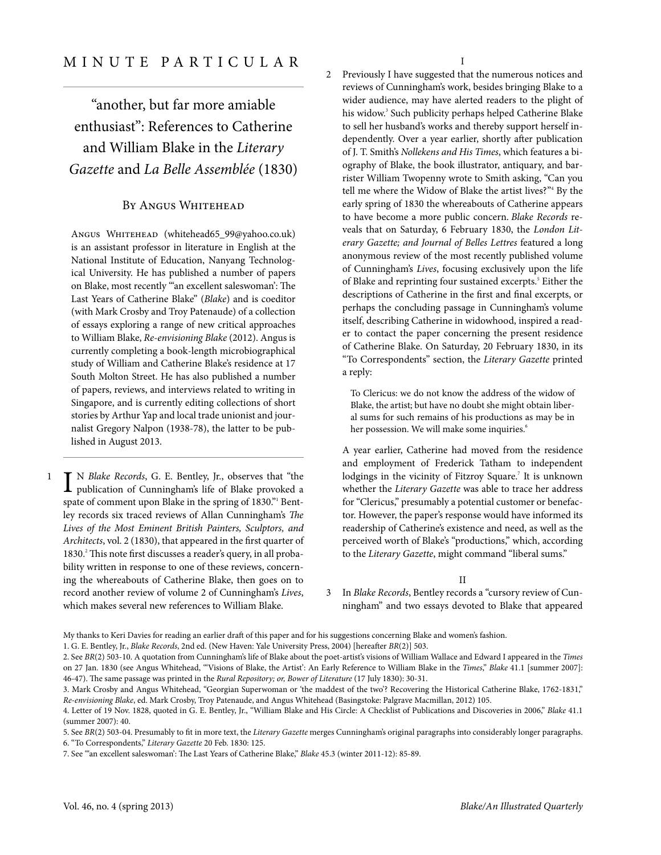"another, but far more amiable enthusiast": References to Catherine and William Blake in the Literary Gazette and La Belle Assemblée (1830)

## By Angus Whitehead

ANGUS WHITEHEAD [\(whitehead65\\_99@yahoo.co.uk](mailto:whitehead65_99@yahoo.co.uk)) is an assistant professor in literature in English at the National Institute of Education, Nanyang Technological University. He has published a number of papers on Blake, most recently "'an excellent saleswoman': The Last Years of Catherine Blake" (Blake) and is coeditor (with Mark Crosby and Troy Patenaude) of a collection of essays exploring a range of new critical approaches to William Blake, Re-envisioning Blake (2012). Angus is currently completing a book-length microbiographical study of William and Catherine Blake's residence at 17 South Molton Street. He has also published a number of papers, reviews, and interviews related to writing in Singapore, and is currently editing collections of short stories by Arthur Yap and local trade unionist and journalist Gregory Nalpon (1938-78), the latter to be published in August 2013.

I N Blake Records, G. E. Bentley, Jr., observes that "the publication of Cunningham's life of Blake provoked a publication of Cunningham's life of Blake provoked a spate of comment upon Blake in the spring of 1830." Bentley records six traced reviews of Allan Cunningham's The Lives of the Most Eminent British Painters, Sculptors, and Architects, vol. 2 (1830), that appeared in the first quarter of 1830.<sup>2</sup> This note first discusses a reader's query, in all probability written in response to one of these reviews, concerning the whereabouts of Catherine Blake, then goes on to record another review of volume 2 of Cunningham's Lives, which makes several new references to William Blake.

I

Previously I have suggested that the numerous notices and 2 reviews of Cunningham's work, besides bringing Blake to a wider audience, may have alerted readers to the plight of his widow. 3 Such publicity perhaps helped Catherine Blake to sell her husband's works and thereby support herself independently. Over a year earlier, shortly after publication of J. T. Smith's Nollekens and His Times, which features a biography of Blake, the book illustrator, antiquary, and barrister William Twopenny wrote to Smith asking, "Can you tell me where the Widow of Blake the artist lives?" <sup>4</sup> By the early spring of 1830 the whereabouts of Catherine appears to have become a more public concern. Blake Records reveals that on Saturday, 6 February 1830, the London Literary Gazette; and Journal of Belles Lettres featured a long anonymous [review](http://books.google.com/books?id=YI1HAAAAYAAJ&lpg=PA85&ots=qXcj3wuMMp&pg=PA85#v=onepage&q&f=false) of the most recently published volume of Cunningham's Lives, focusing exclusively upon the life of Blake and reprinting four sustained excerpts.<sup>5</sup> Either the descriptions of Catherine in the first and final excerpts, or perhaps the concluding passage in Cunningham's volume itself, describing Catherine in widowhood, inspired a reader to contact the paper concerning the present residence of Catherine Blake. On Saturday, 20 February 1830, in its "To Correspondents" section, the Literary Gazette printed a [reply:](http://books.google.com/books?id=YI1HAAAAYAAJ&pg=PA125#v=onepage&q&f=false)

To Clericus: we do not know the address of the widow of Blake, the artist; but have no doubt she might obtain liberal sums for such remains of his productions as may be in her possession. We will make some inquiries.<sup>6</sup>

A year earlier, Catherine had moved from the residence and employment of Frederick Tatham to independent lodgings in the vicinity of Fitzroy Square. 7 It is unknown whether the Literary Gazette was able to trace her address for "Clericus," presumably a potential customer or benefactor. However, the paper's response would have informed its readership of Catherine's existence and need, as well as the perceived worth of Blake's "productions," which, according to the Literary Gazette, might command "liberal sums."

II

In Blake Records, Bentley records a "cursory review of Cunningham" and two essays devoted to Blake that appeared 3

1

My thanks to Keri Davies for reading an earlier draft of this paper and for his suggestions concerning Blake and women's fashion.

<sup>1.</sup> G. E. Bentley, Jr., Blake Records, 2nd ed. (New Haven: Yale University Press, 2004) [hereafter BR(2)] 503.

<sup>2.</sup> See BR(2) 503-10. A quotation from Cunningham's life of Blake about the poet-artist's visions of William Wallace and Edward I appeared in the Times on 27 Jan. 1830 (see Angus Whitehead, "'Visions of Blake, the Artist': An Early Reference to William Blake in the Times," Blake 41.1 [summer 2007]: 46-47). The same passage was printed in the Rural Repository; or, Bower of Literature (17 July 1830): 30-31.

<sup>3.</sup> Mark Crosby and Angus Whitehead, "Georgian Superwoman or 'the maddest of the two'? Recovering the Historical Catherine Blake, 1762-1831," Re-envisioning Blake, ed. Mark Crosby, Troy Patenaude, and Angus Whitehead (Basingstoke: Palgrave Macmillan, 2012) 105.

<sup>4.</sup> Letter of 19 Nov. 1828, quoted in G. E. Bentley, Jr., "William Blake and His Circle: A Checklist of Publications and Discoveries in 2006," Blake 41.1 (summer 2007): 40.

<sup>5.</sup> See BR(2) 503-04. Presumably to fit in more text, the Literary Gazette merges Cunningham's original paragraphs into considerably longer paragraphs. 6. "To Correspondents," Literary Gazette 20 Feb. 1830: 125.

<sup>7.</sup> See "'an excellent saleswoman': The Last Years of Catherine Blake," [Blake](http://blake.lib.rochester.edu/blakeojs/index.php/blake/article/viewArticle/whitehead453/whitehead453html#Charlton) 45.3 (winter 2011-12): 85-89.